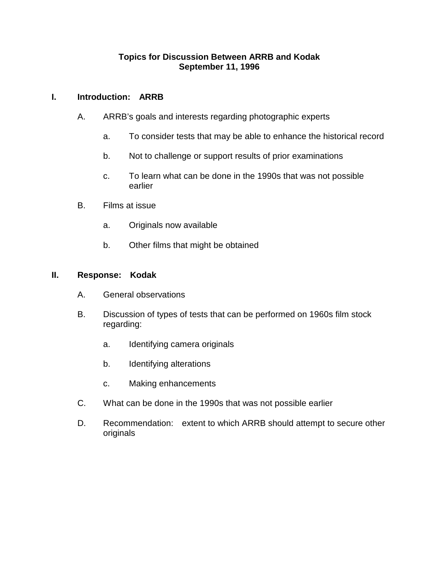# **Topics for Discussion Between ARRB and Kodak September 11, 1996**

# **I. Introduction: ARRB**

- A. ARRB's goals and interests regarding photographic experts
	- a. To consider tests that may be able to enhance the historical record
	- b. Not to challenge or support results of prior examinations
	- c. To learn what can be done in the 1990s that was not possible earlier
- B. Films at issue
	- a. Originals now available
	- b. Other films that might be obtained

### **II. Response: Kodak**

- A. General observations
- B. Discussion of types of tests that can be performed on 1960s film stock regarding:
	- a. Identifying camera originals
	- b. Identifying alterations
	- c. Making enhancements
- C. What can be done in the 1990s that was not possible earlier
- D. Recommendation: extent to which ARRB should attempt to secure other originals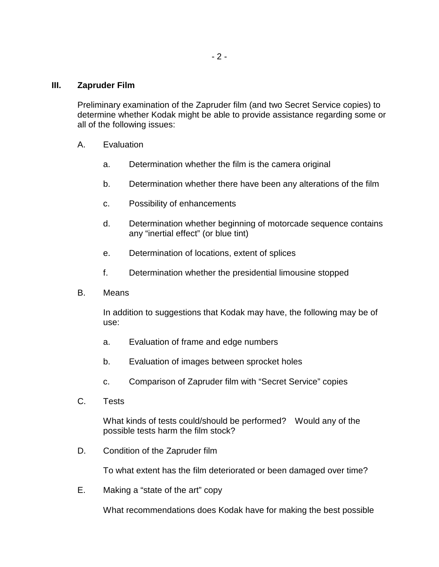#### **III. Zapruder Film**

Preliminary examination of the Zapruder film (and two Secret Service copies) to determine whether Kodak might be able to provide assistance regarding some or all of the following issues:

- A. Evaluation
	- a. Determination whether the film is the camera original
	- b. Determination whether there have been any alterations of the film
	- c. Possibility of enhancements
	- d. Determination whether beginning of motorcade sequence contains any "inertial effect" (or blue tint)
	- e. Determination of locations, extent of splices
	- f. Determination whether the presidential limousine stopped
- B. Means

In addition to suggestions that Kodak may have, the following may be of use:

- a. Evaluation of frame and edge numbers
- b. Evaluation of images between sprocket holes
- c. Comparison of Zapruder film with "Secret Service" copies
- C. Tests

What kinds of tests could/should be performed? Would any of the possible tests harm the film stock?

D. Condition of the Zapruder film

To what extent has the film deteriorated or been damaged over time?

E. Making a "state of the art" copy

What recommendations does Kodak have for making the best possible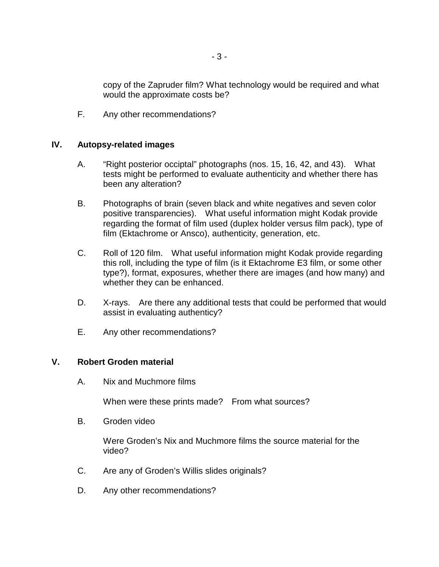copy of the Zapruder film? What technology would be required and what would the approximate costs be?

F. Any other recommendations?

## **IV. Autopsy-related images**

- A. "Right posterior occiptal" photographs (nos. 15, 16, 42, and 43). What tests might be performed to evaluate authenticity and whether there has been any alteration?
- B. Photographs of brain (seven black and white negatives and seven color positive transparencies). What useful information might Kodak provide regarding the format of film used (duplex holder versus film pack), type of film (Ektachrome or Ansco), authenticity, generation, etc.
- C. Roll of 120 film. What useful information might Kodak provide regarding this roll, including the type of film (is it Ektachrome E3 film, or some other type?), format, exposures, whether there are images (and how many) and whether they can be enhanced.
- D. X-rays. Are there any additional tests that could be performed that would assist in evaluating authenticy?
- E. Any other recommendations?

### **V. Robert Groden material**

A. Nix and Muchmore films

When were these prints made? From what sources?

B. Groden video

Were Groden's Nix and Muchmore films the source material for the video?

- C. Are any of Groden's Willis slides originals?
- D. Any other recommendations?